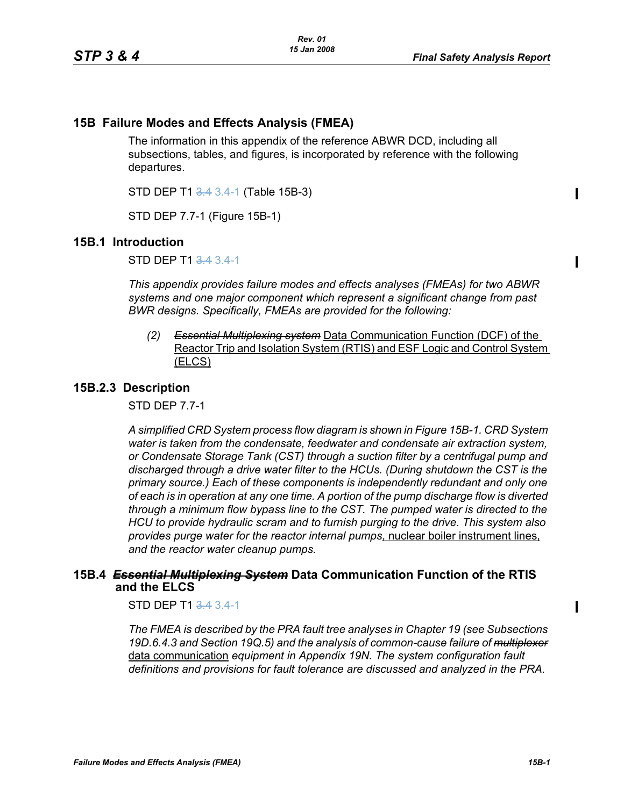# **15B Failure Modes and Effects Analysis (FMEA)**

The information in this appendix of the reference ABWR DCD, including all subsections, tables, and figures, is incorporated by reference with the following departures.

STD DEP T1 3.4 3.4-1 (Table 15B-3)

STD DEP 7.7-1 (Figure 15B-1)

### **15B.1 Introduction**

STD DEP T1 3.4 3.4-1

*This appendix provides failure modes and effects analyses (FMEAs) for two ABWR systems and one major component which represent a significant change from past BWR designs. Specifically, FMEAs are provided for the following:*

*(2) Essential Multiplexing system* Data Communication Function (DCF) of the Reactor Trip and Isolation System (RTIS) and ESF Logic and Control System (ELCS)

### **15B.2.3 Description**

STD DEP 7.7-1

*A simplified CRD System process flow diagram is shown in Figure [15B-1.](#page-2-0) CRD System water is taken from the condensate, feedwater and condensate air extraction system, or Condensate Storage Tank (CST) through a suction filter by a centrifugal pump and discharged through a drive water filter to the HCUs. (During shutdown the CST is the primary source.) Each of these components is independently redundant and only one of each is in operation at any one time. A portion of the pump discharge flow is diverted through a minimum flow bypass line to the CST. The pumped water is directed to the HCU to provide hydraulic scram and to furnish purging to the drive. This system also provides purge water for the reactor internal pumps*, nuclear boiler instrument lines, *and the reactor water cleanup pumps.*

## **15B.4** *Essential Multiplexing System* **Data Communication Function of the RTIS and the ELCS**

STD DEP T1 3.4 3.4-1

*The FMEA is described by the PRA fault tree analyses in Chapter 19 (see Subsections 19D.6.4.3 and Section 19Q.5) and the analysis of common-cause failure of multiplexer* data communication *equipment in Appendix 19N. The system configuration fault definitions and provisions for fault tolerance are discussed and analyzed in the PRA.*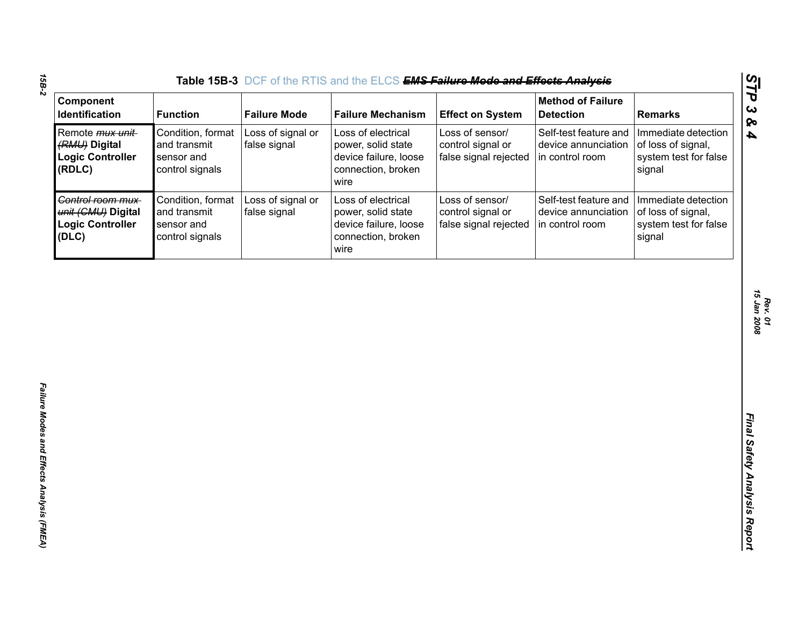| Component                                                                    |                                                                    |                                   | Table 15B-3 DCF of the RTIS and the ELCS EMS Failure Mode and Effects Analysis                  |                                                               | <b>Method of Failure</b>                                        |                                                                              |
|------------------------------------------------------------------------------|--------------------------------------------------------------------|-----------------------------------|-------------------------------------------------------------------------------------------------|---------------------------------------------------------------|-----------------------------------------------------------------|------------------------------------------------------------------------------|
| Identification                                                               | <b>Function</b>                                                    | <b>Failure Mode</b>               | <b>Failure Mechanism</b>                                                                        | <b>Effect on System</b>                                       | <b>Detection</b>                                                | <b>Remarks</b>                                                               |
| Remote <i>mux unit</i><br>(RMU) Digital<br><b>Logic Controller</b><br>(RDLC) | Condition, format<br>and transmit<br>sensor and<br>control signals | Loss of signal or<br>false signal | Loss of electrical<br>power, solid state<br>device failure, loose<br>connection, broken<br>wire | Loss of sensor/<br>control signal or<br>false signal rejected | Self-test feature and<br>device annunciation<br>in control room | Immediate detection<br>of loss of signal,<br>system test for false<br>signal |
| Control room mux-<br>unit (CMU) Digital<br><b>Logic Controller</b><br>(DLC)  | Condition, format<br>and transmit<br>sensor and<br>control signals | Loss of signal or<br>false signal | Loss of electrical<br>power, solid state<br>device failure, loose<br>connection, broken<br>wire | Loss of sensor/<br>control signal or<br>false signal rejected | Self-test feature and<br>device annunciation<br>in control room | Immediate detection<br>of loss of signal,<br>system test for false<br>signal |
|                                                                              |                                                                    |                                   |                                                                                                 |                                                               |                                                                 |                                                                              |
|                                                                              |                                                                    |                                   |                                                                                                 |                                                               |                                                                 |                                                                              |
|                                                                              |                                                                    |                                   |                                                                                                 |                                                               |                                                                 |                                                                              |

*Rev. 01<br>15 Jan 2008 15 Jan 2008*